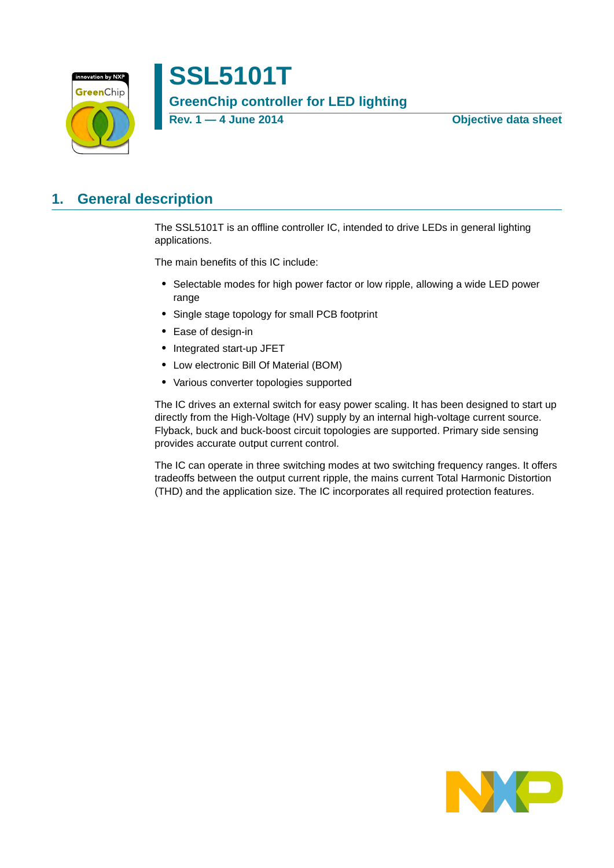

# **SSL5101T GreenChip controller for LED lighting**

**Rev. 1 — 4 June 2014 Objective data sheet**

# <span id="page-0-0"></span>**1. General description**

The SSL5101T is an offline controller IC, intended to drive LEDs in general lighting applications.

The main benefits of this IC include:

- **•** Selectable modes for high power factor or low ripple, allowing a wide LED power range
- **•** Single stage topology for small PCB footprint
- **•** Ease of design-in
- **•** Integrated start-up JFET
- **•** Low electronic Bill Of Material (BOM)
- **•** Various converter topologies supported

The IC drives an external switch for easy power scaling. It has been designed to start up directly from the High-Voltage (HV) supply by an internal high-voltage current source. Flyback, buck and buck-boost circuit topologies are supported. Primary side sensing provides accurate output current control.

The IC can operate in three switching modes at two switching frequency ranges. It offers tradeoffs between the output current ripple, the mains current Total Harmonic Distortion (THD) and the application size. The IC incorporates all required protection features.

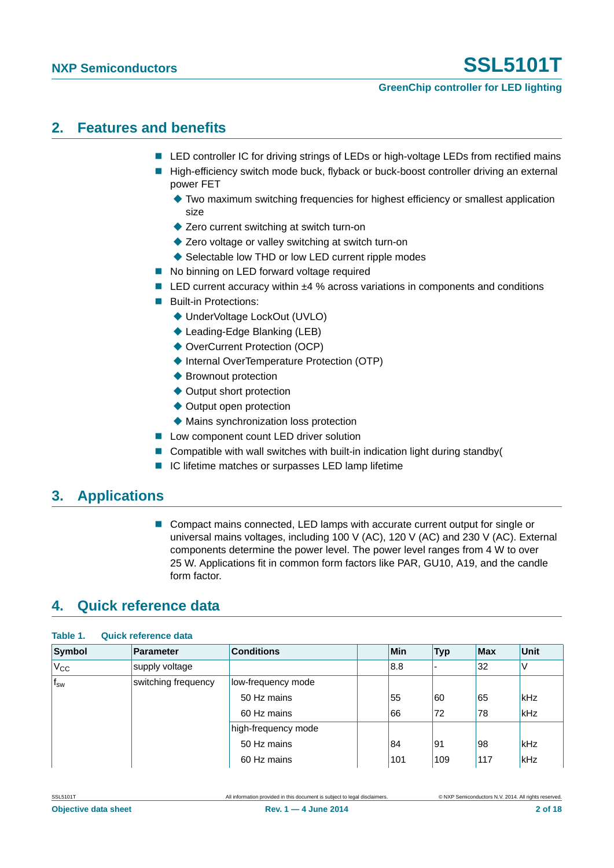#### **GreenChip controller for LED lighting**

### <span id="page-1-0"></span>**2. Features and benefits**

- LED controller IC for driving strings of LEDs or high-voltage LEDs from rectified mains
- High-efficiency switch mode buck, flyback or buck-boost controller driving an external power FET
	- Two maximum switching frequencies for highest efficiency or smallest application size
	- ◆ Zero current switching at switch turn-on
	- ◆ Zero voltage or valley switching at switch turn-on
	- ◆ Selectable low THD or low LED current ripple modes
- No binning on LED forward voltage required
- LED current accuracy within ±4 % across variations in components and conditions
- **Built-in Protections:** 
	- ◆ UnderVoltage LockOut (UVLO)
	- Leading-Edge Blanking (LEB)
	- ◆ OverCurrent Protection (OCP)
	- ◆ Internal OverTemperature Protection (OTP)
	- ◆ Brownout protection
	- ◆ Output short protection
	- ◆ Output open protection
	- Mains synchronization loss protection
- **Low component count LED driver solution**
- Compatible with wall switches with built-in indication light during standby(
- IC lifetime matches or surpasses LED lamp lifetime

### <span id="page-1-1"></span>**3. Applications**

■ Compact mains connected, LED lamps with accurate current output for single or universal mains voltages, including 100 V (AC), 120 V (AC) and 230 V (AC). External components determine the power level. The power level ranges from 4 W to over 25 W. Applications fit in common form factors like PAR, GU10, A19, and the candle form factor.

# <span id="page-1-2"></span>**4. Quick reference data**

| Symbol       | Parameter           | <b>Conditions</b>   | Min | <b>Typ</b> | <b>Max</b> | <b>Unit</b> |
|--------------|---------------------|---------------------|-----|------------|------------|-------------|
| $V_{\rm CC}$ | supply voltage      |                     | 8.8 |            | 32         | V           |
| $f_{sw}$     | switching frequency | low-frequency mode  |     |            |            |             |
|              |                     | 50 Hz mains         | 55  | 60         | 65         | kHz         |
|              |                     | 60 Hz mains         | 66  | 72         | 78         | kHz         |
|              |                     | high-frequency mode |     |            |            |             |
|              |                     | 50 Hz mains         | 84  | 91         | 98         | kHz         |
|              |                     | 60 Hz mains         | 101 | 109        | 117        | kHz         |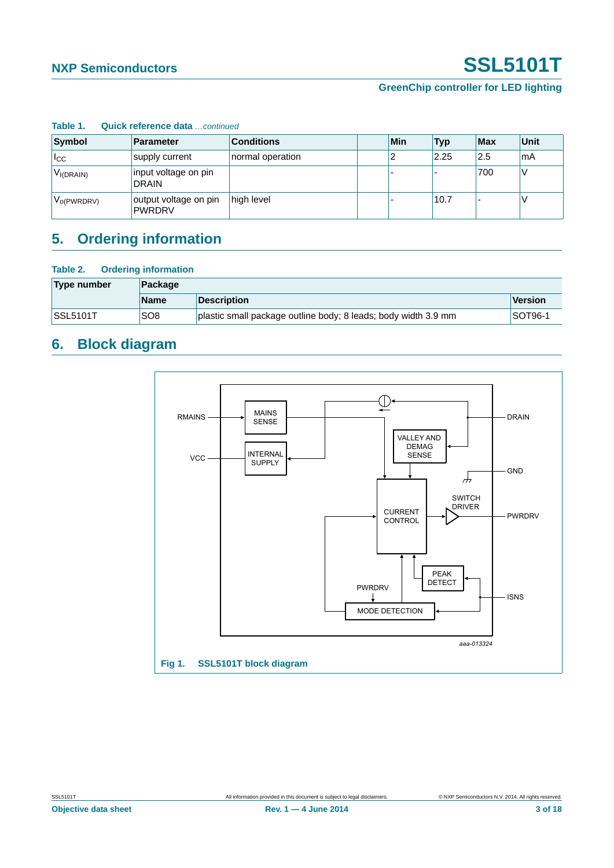#### **GreenChip controller for LED lighting**

| .               |                                        |                   |     |      |     |      |
|-----------------|----------------------------------------|-------------------|-----|------|-----|------|
| Symbol          | <b>Parameter</b>                       | <b>Conditions</b> | Min | Typ  | Max | Unit |
| $_{\rm lcc}$    | supply current                         | normal operation  |     | 2.25 | 2.5 | 'mA  |
| $V_{I(DRAIN)}$  | input voltage on pin<br><b>DRAIN</b>   |                   |     |      | 700 |      |
| $V_{O(PWRDRV)}$ | output voltage on pin<br><b>PWRDRV</b> | high level        |     | 10.7 |     |      |

#### **Table 1. Quick reference data** *…continued*

# <span id="page-2-0"></span>**5. Ordering information**

#### **Table 2. Ordering information**

| Type number     | Package         |                                                                |                |  |  |  |  |
|-----------------|-----------------|----------------------------------------------------------------|----------------|--|--|--|--|
|                 | <b>Name</b>     | <b>Description</b>                                             | Version        |  |  |  |  |
| <b>SSL5101T</b> | SO <sub>8</sub> | plastic small package outline body; 8 leads; body width 3.9 mm | <b>SOT96-1</b> |  |  |  |  |

# <span id="page-2-1"></span>**6. Block diagram**

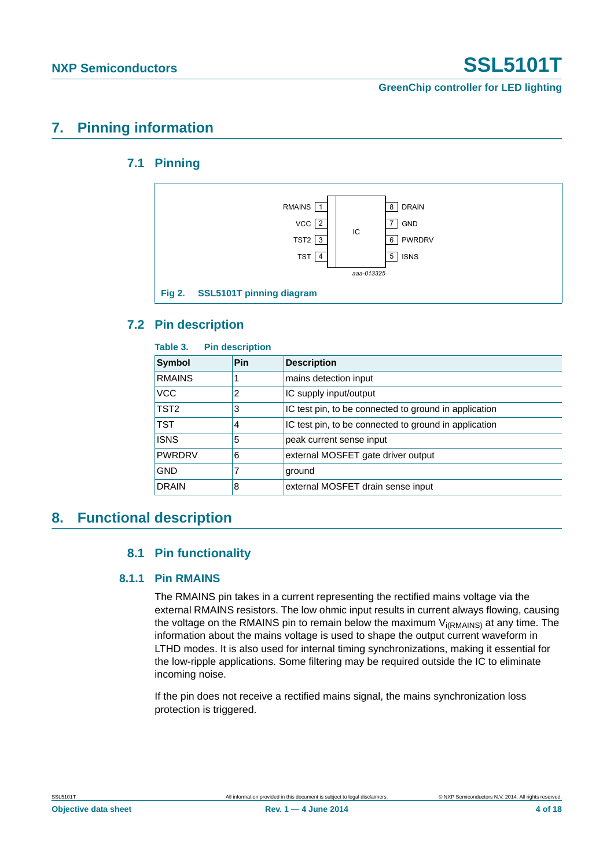**GreenChip controller for LED lighting**

# <span id="page-3-1"></span><span id="page-3-0"></span>**7. Pinning information**

### **7.1 Pinning**



### <span id="page-3-2"></span>**7.2 Pin description**

| Table 3.         | <b>Pin description</b> |                                                       |
|------------------|------------------------|-------------------------------------------------------|
| <b>Symbol</b>    | Pin                    | <b>Description</b>                                    |
| <b>RMAINS</b>    |                        | mains detection input                                 |
| <b>VCC</b>       | 2                      | IC supply input/output                                |
| TST <sub>2</sub> | 3                      | IC test pin, to be connected to ground in application |
| <b>TST</b>       | 4                      | IC test pin, to be connected to ground in application |
| <b>ISNS</b>      | 5                      | peak current sense input                              |
| <b>PWRDRV</b>    | 6                      | external MOSFET gate driver output                    |
| <b>GND</b>       |                        | ground                                                |
| <b>DRAIN</b>     | 8                      | external MOSFET drain sense input                     |

### <span id="page-3-5"></span><span id="page-3-4"></span><span id="page-3-3"></span>**8. Functional description**

### **8.1 Pin functionality**

### **8.1.1 Pin RMAINS**

The RMAINS pin takes in a current representing the rectified mains voltage via the external RMAINS resistors. The low ohmic input results in current always flowing, causing the voltage on the RMAINS pin to remain below the maximum  $V_{i(RMAINS)}$  at any time. The information about the mains voltage is used to shape the output current waveform in LTHD modes. It is also used for internal timing synchronizations, making it essential for the low-ripple applications. Some filtering may be required outside the IC to eliminate incoming noise.

If the pin does not receive a rectified mains signal, the mains synchronization loss protection is triggered.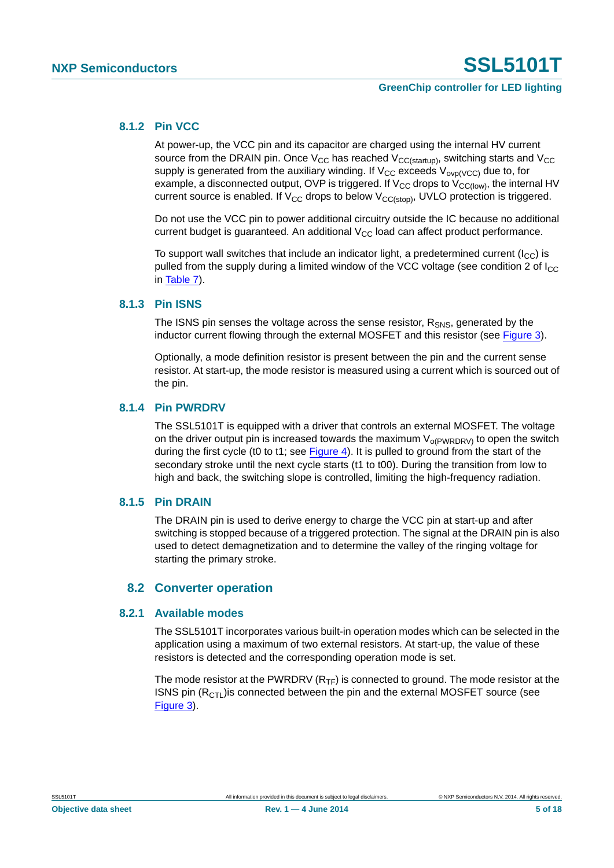#### **GreenChip controller for LED lighting**

#### <span id="page-4-1"></span>**8.1.2 Pin VCC**

At power-up, the VCC pin and its capacitor are charged using the internal HV current source from the DRAIN pin. Once  $V_{CC}$  has reached  $V_{CC}$ <sub>(startup)</sub>, switching starts and  $V_{CC}$ supply is generated from the auxiliary winding. If  $V_{CC}$  exceeds  $V_{ovp(VCC)}$  due to, for example, a disconnected output, OVP is triggered. If  $V_{CC}$  drops to  $V_{CC(low)}$ , the internal HV current source is enabled. If  $V_{CC}$  drops to below  $V_{CC(stop)}$ , UVLO protection is triggered.

Do not use the VCC pin to power additional circuitry outside the IC because no additional current budget is guaranteed. An additional  $V_{CC}$  load can affect product performance.

To support wall switches that include an indicator light, a predetermined current  $(I_{CC})$  is pulled from the supply during a limited window of the VCC voltage (see condition 2 of  $I_{\text{CC}}$ ) in [Table 7\)](#page-10-0).

#### <span id="page-4-2"></span>**8.1.3 Pin ISNS**

The ISNS pin senses the voltage across the sense resistor,  $R_{SNS}$ , generated by the inductor current flowing through the external MOSFET and this resistor (see [Figure 3\)](#page-5-0).

Optionally, a mode definition resistor is present between the pin and the current sense resistor. At start-up, the mode resistor is measured using a current which is sourced out of the pin.

#### <span id="page-4-3"></span>**8.1.4 Pin PWRDRV**

The SSL5101T is equipped with a driver that controls an external MOSFET. The voltage on the driver output pin is increased towards the maximum  $V_{o(PWRDRV)}$  to open the switch during the first cycle (t0 to t1; see [Figure 4\)](#page-6-0). It is pulled to ground from the start of the secondary stroke until the next cycle starts (t1 to t00). During the transition from low to high and back, the switching slope is controlled, limiting the high-frequency radiation.

#### <span id="page-4-4"></span>**8.1.5 Pin DRAIN**

The DRAIN pin is used to derive energy to charge the VCC pin at start-up and after switching is stopped because of a triggered protection. The signal at the DRAIN pin is also used to detect demagnetization and to determine the valley of the ringing voltage for starting the primary stroke.

#### **8.2 Converter operation**

#### <span id="page-4-5"></span><span id="page-4-0"></span>**8.2.1 Available modes**

The SSL5101T incorporates various built-in operation modes which can be selected in the application using a maximum of two external resistors. At start-up, the value of these resistors is detected and the corresponding operation mode is set.

The mode resistor at the PWRDRV  $(R_{TF})$  is connected to ground. The mode resistor at the ISNS pin  $(R<sub>CTL</sub>)$  is connected between the pin and the external MOSFET source (see [Figure 3\)](#page-5-0).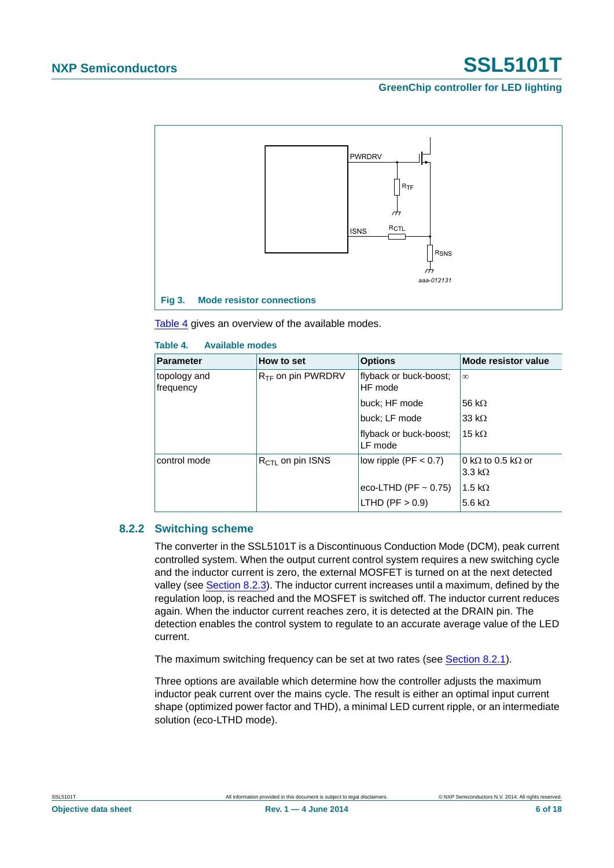#### **GreenChip controller for LED lighting**



<span id="page-5-0"></span>[Table 4](#page-5-1) gives an overview of the available modes.

#### <span id="page-5-1"></span>**Table 4. Available modes**

| <b>Parameter</b>          | How to set                    | <b>Options</b>                    | Mode resistor value                                        |
|---------------------------|-------------------------------|-----------------------------------|------------------------------------------------------------|
| topology and<br>frequency | R <sub>TF</sub> on pin PWRDRV | flyback or buck-boost;<br>HF mode | $\infty$                                                   |
|                           |                               | buck; HF mode                     | 56 k $\Omega$                                              |
|                           |                               | buck; LF mode                     | 33 k $\Omega$                                              |
|                           |                               | flyback or buck-boost;<br>LF mode | 15 k $\Omega$                                              |
| control mode              | $R_{\text{CTI}}$ on pin ISNS  | low ripple ( $PF < 0.7$ )         | 0 k $\Omega$ to 0.5 k $\Omega$ or<br>$3.3 \text{ k}\Omega$ |
|                           |                               | eco-LTHD (PF $\sim$ 0.75)         | 1.5 k $\Omega$                                             |
|                           |                               | LTHD (PF $> 0.9$ )                | 5.6 k $\Omega$                                             |

#### <span id="page-5-2"></span>**8.2.2 Switching scheme**

The converter in the SSL5101T is a Discontinuous Conduction Mode (DCM), peak current controlled system. When the output current control system requires a new switching cycle and the inductor current is zero, the external MOSFET is turned on at the next detected valley (see [Section 8.2.3](#page-6-1)). The inductor current increases until a maximum, defined by the regulation loop, is reached and the MOSFET is switched off. The inductor current reduces again. When the inductor current reaches zero, it is detected at the DRAIN pin. The detection enables the control system to regulate to an accurate average value of the LED current.

The maximum switching frequency can be set at two rates (see [Section 8.2.1\)](#page-4-0).

Three options are available which determine how the controller adjusts the maximum inductor peak current over the mains cycle. The result is either an optimal input current shape (optimized power factor and THD), a minimal LED current ripple, or an intermediate solution (eco-LTHD mode).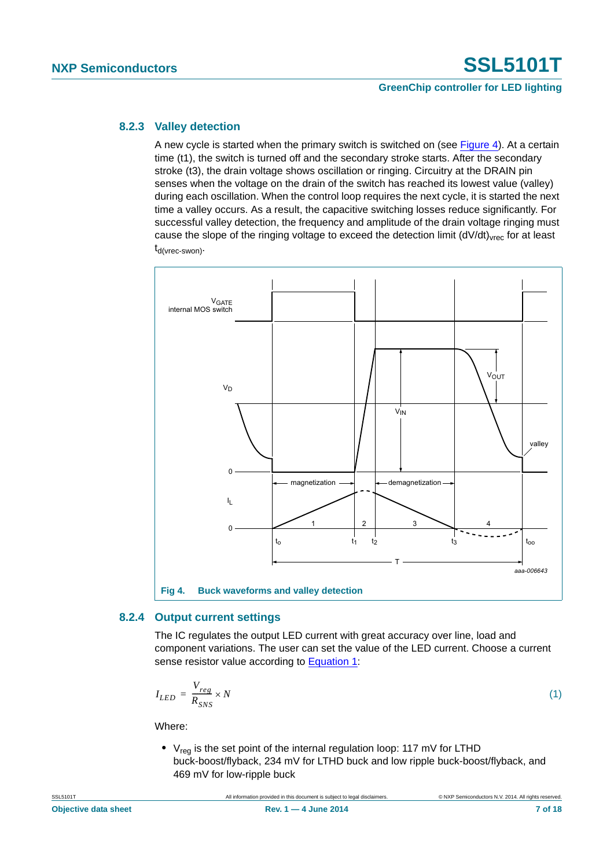#### **GreenChip controller for LED lighting**

#### <span id="page-6-1"></span>**8.2.3 Valley detection**

A new cycle is started when the primary switch is switched on (see [Figure 4](#page-6-0)). At a certain time (t1), the switch is turned off and the secondary stroke starts. After the secondary stroke (t3), the drain voltage shows oscillation or ringing. Circuitry at the DRAIN pin senses when the voltage on the drain of the switch has reached its lowest value (valley) during each oscillation. When the control loop requires the next cycle, it is started the next time a valley occurs. As a result, the capacitive switching losses reduce significantly. For successful valley detection, the frequency and amplitude of the drain voltage ringing must cause the slope of the ringing voltage to exceed the detection limit  $(dV/dt)_{\text{vrec}}$  for at least  $t_{d(vrec-swon)}$ .



#### <span id="page-6-3"></span><span id="page-6-0"></span>**8.2.4 Output current settings**

The IC regulates the output LED current with great accuracy over line, load and component variations. The user can set the value of the LED current. Choose a current sense resistor value according to [Equation 1:](#page-6-2)

<span id="page-6-2"></span>
$$
I_{LED} = \frac{V_{reg}}{R_{SNS}} \times N \tag{1}
$$

Where:

• V<sub>reg</sub> is the set point of the internal regulation loop: 117 mV for LTHD buck-boost/flyback, 234 mV for LTHD buck and low ripple buck-boost/flyback, and 469 mV for low-ripple buck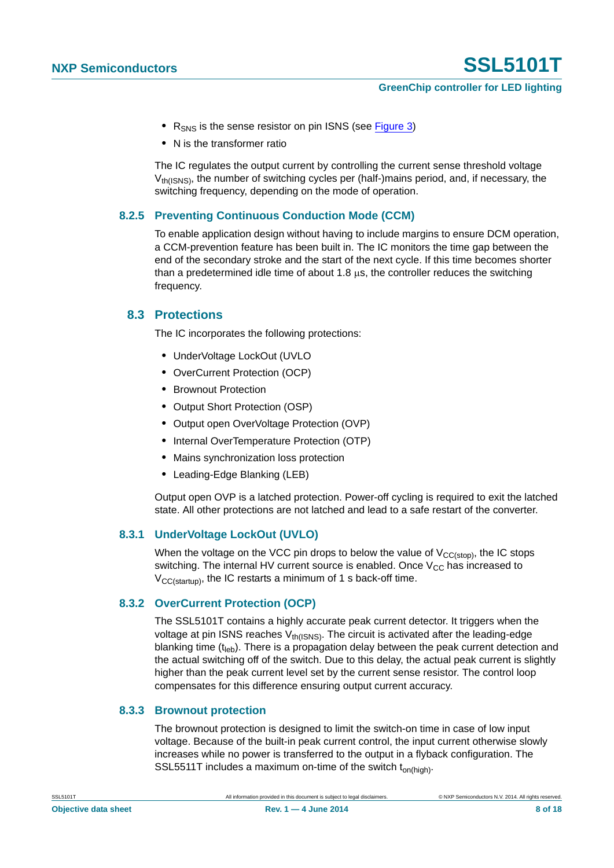#### **GreenChip controller for LED lighting**

- R<sub>SNS</sub> is the sense resistor on pin ISNS (see [Figure 3](#page-5-0))
- **•** N is the transformer ratio

The IC regulates the output current by controlling the current sense threshold voltage  $V_{th(SNS)}$ , the number of switching cycles per (half-)mains period, and, if necessary, the switching frequency, depending on the mode of operation.

#### <span id="page-7-0"></span>**8.2.5 Preventing Continuous Conduction Mode (CCM)**

To enable application design without having to include margins to ensure DCM operation, a CCM-prevention feature has been built in. The IC monitors the time gap between the end of the secondary stroke and the start of the next cycle. If this time becomes shorter than a predetermined idle time of about 1.8  $\mu$ s, the controller reduces the switching frequency.

#### <span id="page-7-1"></span>**8.3 Protections**

The IC incorporates the following protections:

- **•** UnderVoltage LockOut (UVLO
- **•** OverCurrent Protection (OCP)
- **•** Brownout Protection
- **•** Output Short Protection (OSP)
- **•** Output open OverVoltage Protection (OVP)
- **•** Internal OverTemperature Protection (OTP)
- **•** Mains synchronization loss protection
- **•** Leading-Edge Blanking (LEB)

Output open OVP is a latched protection. Power-off cycling is required to exit the latched state. All other protections are not latched and lead to a safe restart of the converter.

#### <span id="page-7-2"></span>**8.3.1 UnderVoltage LockOut (UVLO)**

When the voltage on the VCC pin drops to below the value of  $V_{CC(stop)}$ , the IC stops switching. The internal HV current source is enabled. Once  $V_{CC}$  has increased to  $V_{CC(statup)}$ , the IC restarts a minimum of 1 s back-off time.

#### <span id="page-7-3"></span>**8.3.2 OverCurrent Protection (OCP)**

The SSL5101T contains a highly accurate peak current detector. It triggers when the voltage at pin ISNS reaches  $V_{th(ISNS)}$ . The circuit is activated after the leading-edge blanking time  $(t_{\text{leb}})$ . There is a propagation delay between the peak current detection and the actual switching off of the switch. Due to this delay, the actual peak current is slightly higher than the peak current level set by the current sense resistor. The control loop compensates for this difference ensuring output current accuracy.

#### <span id="page-7-4"></span>**8.3.3 Brownout protection**

The brownout protection is designed to limit the switch-on time in case of low input voltage. Because of the built-in peak current control, the input current otherwise slowly increases while no power is transferred to the output in a flyback configuration. The SSL5511T includes a maximum on-time of the switch  $t_{on(hiah)}$ .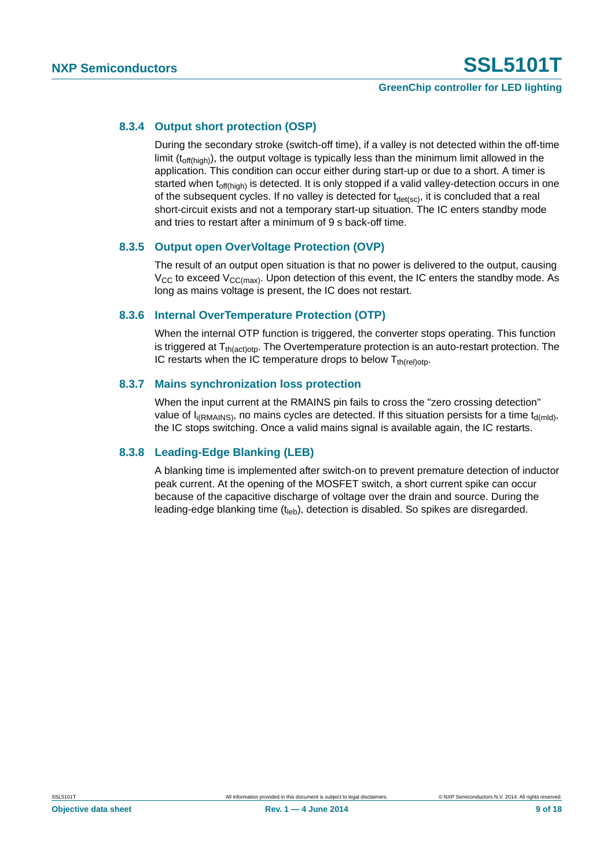#### **GreenChip controller for LED lighting**

#### <span id="page-8-0"></span>**8.3.4 Output short protection (OSP)**

During the secondary stroke (switch-off time), if a valley is not detected within the off-time limit  $(t_{off(hich)})$ , the output voltage is typically less than the minimum limit allowed in the application. This condition can occur either during start-up or due to a short. A timer is started when t<sub>off(high)</sub> is detected. It is only stopped if a valid valley-detection occurs in one of the subsequent cycles. If no valley is detected for  $t_{\text{det}(sc)}$ , it is concluded that a real short-circuit exists and not a temporary start-up situation. The IC enters standby mode and tries to restart after a minimum of 9 s back-off time.

#### <span id="page-8-1"></span>**8.3.5 Output open OverVoltage Protection (OVP)**

The result of an output open situation is that no power is delivered to the output, causing  $V_{CC}$  to exceed  $V_{CC(max)}$ . Upon detection of this event, the IC enters the standby mode. As long as mains voltage is present, the IC does not restart.

#### <span id="page-8-2"></span>**8.3.6 Internal OverTemperature Protection (OTP)**

When the internal OTP function is triggered, the converter stops operating. This function is triggered at  $T_{th(action)}$ . The Overtemperature protection is an auto-restart protection. The IC restarts when the IC temperature drops to below  $T_{th (rel)oto}$ .

#### <span id="page-8-3"></span>**8.3.7 Mains synchronization loss protection**

When the input current at the RMAINS pin fails to cross the "zero crossing detection" value of  $I_{i(RMAINS)}$ , no mains cycles are detected. If this situation persists for a time  $t_{d(mId)}$ , the IC stops switching. Once a valid mains signal is available again, the IC restarts.

#### <span id="page-8-4"></span>**8.3.8 Leading-Edge Blanking (LEB)**

A blanking time is implemented after switch-on to prevent premature detection of inductor peak current. At the opening of the MOSFET switch, a short current spike can occur because of the capacitive discharge of voltage over the drain and source. During the leading-edge blanking time  $(t<sub>len</sub>)$ , detection is disabled. So spikes are disregarded.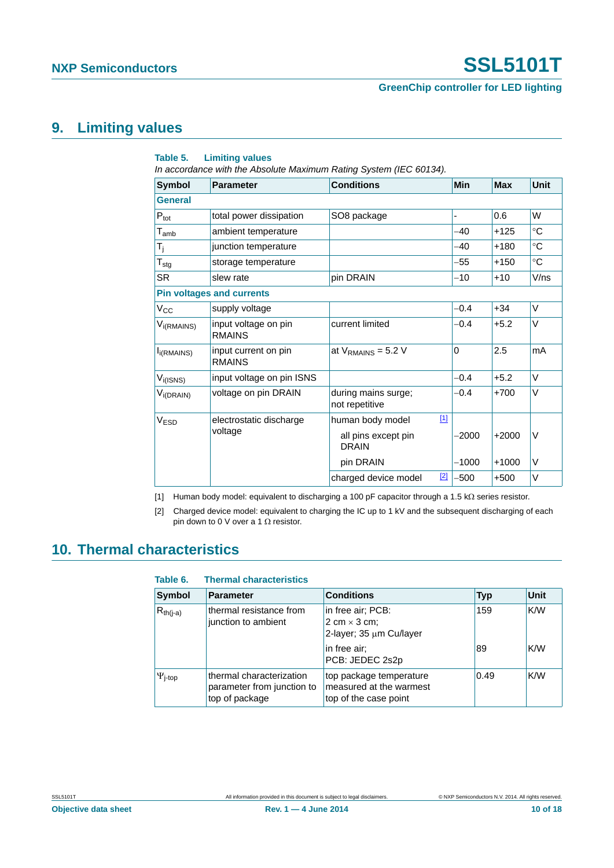#### **GreenChip controller for LED lighting**

# <span id="page-9-2"></span>**9. Limiting values**

| Table 5.                    | <b>Limiting values</b><br>In accordance with the Absolute Maximum Rating System (IEC 60134). |                                       |       |              |            |             |
|-----------------------------|----------------------------------------------------------------------------------------------|---------------------------------------|-------|--------------|------------|-------------|
| <b>Symbol</b>               | <b>Parameter</b>                                                                             | <b>Conditions</b>                     |       | Min          | <b>Max</b> | <b>Unit</b> |
| <b>General</b>              |                                                                                              |                                       |       |              |            |             |
| $P_{\text{tot}}$            | total power dissipation                                                                      | SO8 package                           |       | ÷,           | 0.6        | W           |
| $\mathsf{T}_{\mathsf{amb}}$ | ambient temperature                                                                          |                                       |       | $-40$        | $+125$     | $^{\circ}C$ |
| $T_i$                       | junction temperature                                                                         |                                       |       | $-40$        | $+180$     | $^{\circ}C$ |
| ${\sf T}_{\sf stg}$         | storage temperature                                                                          |                                       |       | $-55$        | $+150$     | $^{\circ}C$ |
| <b>SR</b>                   | slew rate                                                                                    | pin DRAIN                             |       | $-10$        | $+10$      | V/ns        |
|                             | <b>Pin voltages and currents</b>                                                             |                                       |       |              |            |             |
| $V_{\rm CC}$                | supply voltage                                                                               |                                       |       | $-0.4$       | $+34$      | V           |
| V <sub>i(RMAINS)</sub>      | input voltage on pin<br><b>RMAINS</b>                                                        | current limited                       |       | $-0.4$       | $+5.2$     | V           |
| $I_{i(RMAINS)}$             | input current on pin<br><b>RMAINS</b>                                                        | at $V_{\text{RMAINS}}$ = 5.2 V        |       | $\mathbf{0}$ | 2.5        | mA          |
| $V_{i(ISNS)}$               | input voltage on pin ISNS                                                                    |                                       |       | $-0.4$       | $+5.2$     | V           |
| $V_{i(DRAIN)}$              | voltage on pin DRAIN                                                                         | during mains surge;<br>not repetitive |       | $-0.4$       | $+700$     | V           |
| V <sub>ESD</sub>            | electrostatic discharge                                                                      | human body model                      | $[1]$ |              |            |             |
|                             | voltage                                                                                      | all pins except pin<br><b>DRAIN</b>   |       | $-2000$      | $+2000$    | V           |
|                             |                                                                                              | pin DRAIN                             |       | $-1000$      | $+1000$    | V           |
|                             |                                                                                              | charged device model                  | $[2]$ | $-500$       | $+500$     | V           |

<span id="page-9-0"></span>[1] Human body model: equivalent to discharging a 100 pF capacitor through a 1.5 k $\Omega$  series resistor.

<span id="page-9-1"></span>[2] Charged device model: equivalent to charging the IC up to 1 kV and the subsequent discharging of each pin down to 0 V over a 1  $\Omega$  resistor.

### <span id="page-9-3"></span>**10. Thermal characteristics**

| Table 6.                | <b>Thermal characteristics</b>                                           |                                                                             |            |      |
|-------------------------|--------------------------------------------------------------------------|-----------------------------------------------------------------------------|------------|------|
| Symbol                  | <b>Parameter</b>                                                         | <b>Conditions</b>                                                           | <b>Typ</b> | Unit |
| $R_{th(i-a)}$           | thermal resistance from<br>junction to ambient                           | in free air; PCB:<br>2 cm $\times$ 3 cm;<br>2-layer; 35 µm Cu/layer         | 159        | K/W  |
|                         |                                                                          | in free air;<br>PCB: JEDEC 2s2p                                             | 89         | K/W  |
| $\Psi$ <sub>j-top</sub> | thermal characterization<br>parameter from junction to<br>top of package | top package temperature<br>measured at the warmest<br>top of the case point | 0.49       | K/W  |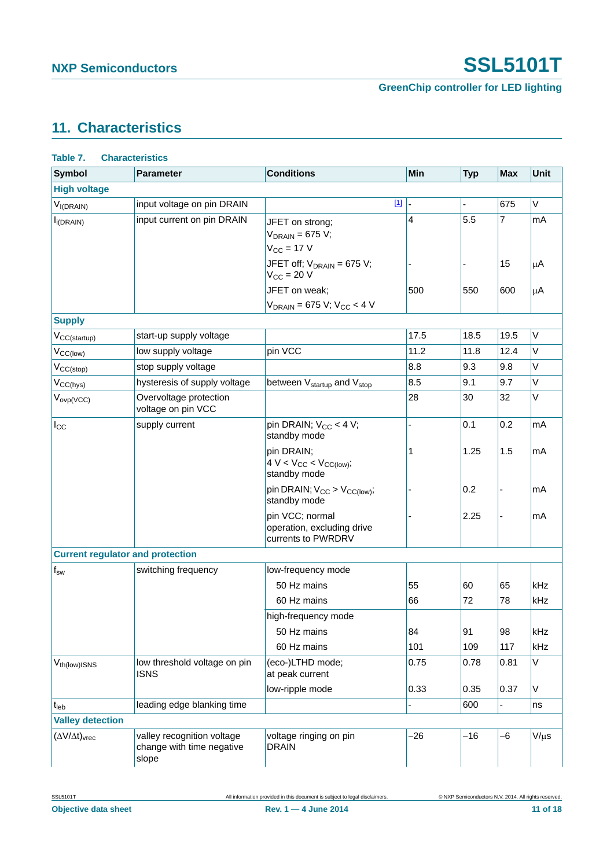**GreenChip controller for LED lighting**

# <span id="page-10-1"></span>**11. Characteristics**

<span id="page-10-0"></span>

| <b>Symbol</b>                       | <b>Parameter</b>                                                 | <b>Conditions</b>                                                   | <b>Min</b>     | <b>Typ</b> | Max                                                                                                  | <b>Unit</b> |
|-------------------------------------|------------------------------------------------------------------|---------------------------------------------------------------------|----------------|------------|------------------------------------------------------------------------------------------------------|-------------|
| <b>High voltage</b>                 |                                                                  |                                                                     |                |            |                                                                                                      |             |
| V <sub>I(DRAIN)</sub>               | input voltage on pin DRAIN                                       | $[1]$                                                               |                |            | 675                                                                                                  | $\vee$      |
| $I_{i(DRAIN)}$                      | input current on pin DRAIN                                       | JFET on strong;                                                     | $\overline{4}$ | 5.5        | 7                                                                                                    | mA          |
|                                     |                                                                  | $V_{DRAIN}$ = 675 V;                                                |                |            |                                                                                                      |             |
|                                     |                                                                  | $V_{CC}$ = 17 V                                                     |                |            | 15<br>600<br>19.5<br>12.4<br>9.8<br>9.7<br>32<br>0.2<br>1.5<br>65<br>78<br>98<br>117<br>0.81<br>0.37 |             |
|                                     |                                                                  | JFET off; $V_{DRAIN} = 675 V$ ;<br>$V_{CC}$ = 20 V                  |                |            |                                                                                                      | μA          |
|                                     |                                                                  | JFET on weak;                                                       | 500            | 550        |                                                                                                      | μA          |
|                                     |                                                                  | $V_{DRAIN}$ = 675 V; V <sub>CC</sub> < 4 V                          |                |            |                                                                                                      |             |
| <b>Supply</b>                       |                                                                  |                                                                     |                |            |                                                                                                      |             |
| V <sub>CC(startup)</sub>            | start-up supply voltage                                          |                                                                     | 17.5           | 18.5       |                                                                                                      | V           |
| $V_{CC(low)}$                       | low supply voltage                                               | pin VCC                                                             | 11.2           | 11.8       |                                                                                                      | $\vee$      |
| $V_{CC(stop)}$                      | stop supply voltage                                              |                                                                     | 8.8            | 9.3        |                                                                                                      | $\vee$      |
| $V_{CC(hys)}$                       | hysteresis of supply voltage                                     | between V <sub>startup</sub> and V <sub>stop</sub>                  | 8.5            | 9.1        |                                                                                                      | $\vee$      |
| $V_{ovp(VCC)}$                      | Overvoltage protection<br>voltage on pin VCC                     |                                                                     | 28             | 30         |                                                                                                      | $\vee$      |
| $I_{\rm CC}$                        | supply current                                                   | pin DRAIN; $V_{CC}$ < 4 V;<br>standby mode                          |                | 0.1        |                                                                                                      | mA          |
|                                     |                                                                  | pin DRAIN;<br>$4 V < V_{CC} < V_{CC(low)}$ ;<br>standby mode        | 1              | 1.25       |                                                                                                      | mA          |
|                                     |                                                                  | pin DRAIN; $V_{CC} > V_{CC(low)}$ ;<br>standby mode                 |                | 0.2        |                                                                                                      | mA          |
|                                     |                                                                  | pin VCC; normal<br>operation, excluding drive<br>currents to PWRDRV |                | 2.25       |                                                                                                      | mA          |
|                                     | <b>Current regulator and protection</b>                          |                                                                     |                |            |                                                                                                      |             |
| $f_{sw}$                            | switching frequency                                              | low-frequency mode                                                  |                |            |                                                                                                      |             |
|                                     |                                                                  | 50 Hz mains                                                         | 55             | 60         |                                                                                                      | kHz         |
|                                     |                                                                  | 60 Hz mains                                                         | 66             | 72         |                                                                                                      | kHz         |
|                                     |                                                                  | high-frequency mode                                                 |                |            |                                                                                                      |             |
|                                     |                                                                  | 50 Hz mains                                                         | 84             | 91         |                                                                                                      | kHz         |
|                                     |                                                                  | 60 Hz mains                                                         | 101            | 109        |                                                                                                      | kHz         |
| V <sub>th(low)</sub> ISNS           | low threshold voltage on pin<br><b>ISNS</b>                      | (eco-)LTHD mode;<br>at peak current                                 | 0.75           | 0.78       |                                                                                                      | $\vee$      |
|                                     |                                                                  | low-ripple mode                                                     | 0.33           | 0.35       |                                                                                                      | V           |
| $t_{\sf{leb}}$                      | leading edge blanking time                                       |                                                                     |                | 600        |                                                                                                      | ns          |
| <b>Valley detection</b>             |                                                                  |                                                                     |                |            |                                                                                                      |             |
| $(\Delta V/\Delta t)_{\text{vrec}}$ | valley recognition voltage<br>change with time negative<br>slope | voltage ringing on pin<br><b>DRAIN</b>                              | $-26$          | $-16$      | $-6$                                                                                                 | $V/\mu s$   |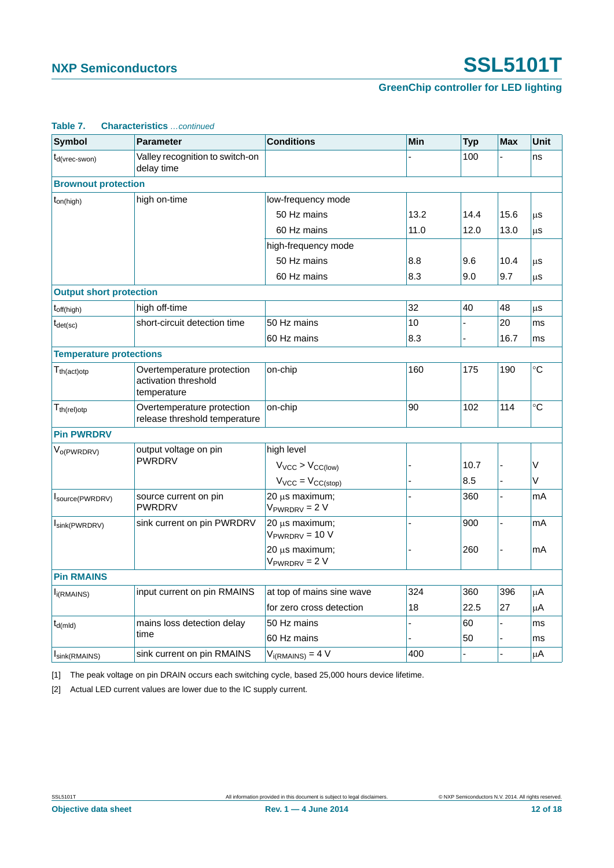### **GreenChip controller for LED lighting**

| <b>Symbol</b>                                        | <b>Parameter</b>                                                  | <b>Conditions</b>                     | <b>Min</b>                                                                                                                                                                                         | <b>Typ</b> | <b>Max</b> | <b>Unit</b> |
|------------------------------------------------------|-------------------------------------------------------------------|---------------------------------------|----------------------------------------------------------------------------------------------------------------------------------------------------------------------------------------------------|------------|------------|-------------|
| t <sub>d</sub> (vrec-swon)                           | Valley recognition to switch-on<br>delay time                     |                                       |                                                                                                                                                                                                    | 100        |            | ns          |
| <b>Brownout protection</b>                           |                                                                   |                                       |                                                                                                                                                                                                    |            |            |             |
| $t_{on(high)}$                                       | high on-time                                                      | low-frequency mode                    |                                                                                                                                                                                                    |            |            |             |
|                                                      |                                                                   | 50 Hz mains                           | 13.2<br>14.4<br>11.0<br>12.0<br>8.8<br>9.6<br>8.3<br>9.0<br>32<br>40<br>10<br>8.3<br>160<br>175<br>90<br>102<br>10.7<br>8.5<br>360<br>$\overline{a}$<br>900<br>$\overline{a}$<br>260<br>324<br>360 | 15.6       | μs         |             |
|                                                      |                                                                   | 60 Hz mains                           |                                                                                                                                                                                                    |            | 13.0       | μS          |
|                                                      |                                                                   | high-frequency mode                   |                                                                                                                                                                                                    |            |            |             |
|                                                      |                                                                   | 50 Hz mains                           |                                                                                                                                                                                                    |            | 10.4       | μS          |
|                                                      |                                                                   | 60 Hz mains                           |                                                                                                                                                                                                    |            | 9.7        | μS          |
| <b>Output short protection</b>                       |                                                                   |                                       |                                                                                                                                                                                                    |            |            |             |
| $t_{off(high)}$                                      | high off-time                                                     |                                       |                                                                                                                                                                                                    |            | 48         | μS          |
| $t_{\text{det}(\text{sc})}$                          | short-circuit detection time                                      | 50 Hz mains                           |                                                                                                                                                                                                    |            | 20         | ms          |
|                                                      |                                                                   | 60 Hz mains                           |                                                                                                                                                                                                    |            | 16.7       | ms          |
| <b>Temperature protections</b>                       |                                                                   |                                       |                                                                                                                                                                                                    |            |            |             |
| $T_{th (act)otp}$                                    | Overtemperature protection<br>activation threshold<br>temperature | on-chip                               |                                                                                                                                                                                                    |            | 190        | °C          |
| $\mathsf{T}_{\mathsf{th}(\mathsf{rel})\mathsf{otp}}$ | Overtemperature protection<br>release threshold temperature       | on-chip                               |                                                                                                                                                                                                    |            | 114        | °C          |
| <b>Pin PWRDRV</b>                                    |                                                                   |                                       |                                                                                                                                                                                                    |            |            |             |
| V <sub>o(PWRDRV)</sub>                               | output voltage on pin                                             | high level                            |                                                                                                                                                                                                    |            |            |             |
|                                                      | <b>PWRDRV</b>                                                     | $V_{VCC}$ > $V_{CC(low)}$             |                                                                                                                                                                                                    |            |            | V           |
|                                                      |                                                                   | $V_{VCC} = V_{CC(stop)}$              |                                                                                                                                                                                                    |            |            | V           |
| Source(PWRDRV)                                       | source current on pin<br><b>PWRDRV</b>                            | 20 µs maximum;<br>$V_{PWRDRV} = 2 V$  |                                                                                                                                                                                                    |            |            | mA          |
| Isink(PWRDRV)                                        | sink current on pin PWRDRV                                        | 20 µs maximum;<br>$V_{PWRDRV} = 10 V$ |                                                                                                                                                                                                    |            |            | mA          |
|                                                      |                                                                   | 20 µs maximum;<br>$V_{PWRDRV} = 2 V$  |                                                                                                                                                                                                    |            |            | mA          |
| <b>Pin RMAINS</b>                                    |                                                                   |                                       |                                                                                                                                                                                                    |            |            |             |
| $I_{i(RMAINS)}$                                      | input current on pin RMAINS                                       | at top of mains sine wave             |                                                                                                                                                                                                    |            | 396        | μA          |
|                                                      |                                                                   | for zero cross detection              | 18                                                                                                                                                                                                 | 22.5       | 27         | μA          |
| $t_{d(mld)}$                                         | mains loss detection delay                                        | 50 Hz mains                           |                                                                                                                                                                                                    | 60         |            | ms          |
|                                                      | time                                                              | 60 Hz mains                           |                                                                                                                                                                                                    | 50         |            | ms          |
| Isink(RMAINS)                                        | sink current on pin RMAINS                                        | $V_{i(RMAINS)} = 4 V$                 | 400                                                                                                                                                                                                |            |            | μA          |

#### **Table 7. Characteristics** *…continued*

<span id="page-11-0"></span>[1] The peak voltage on pin DRAIN occurs each switching cycle, based 25,000 hours device lifetime.

[2] Actual LED current values are lower due to the IC supply current.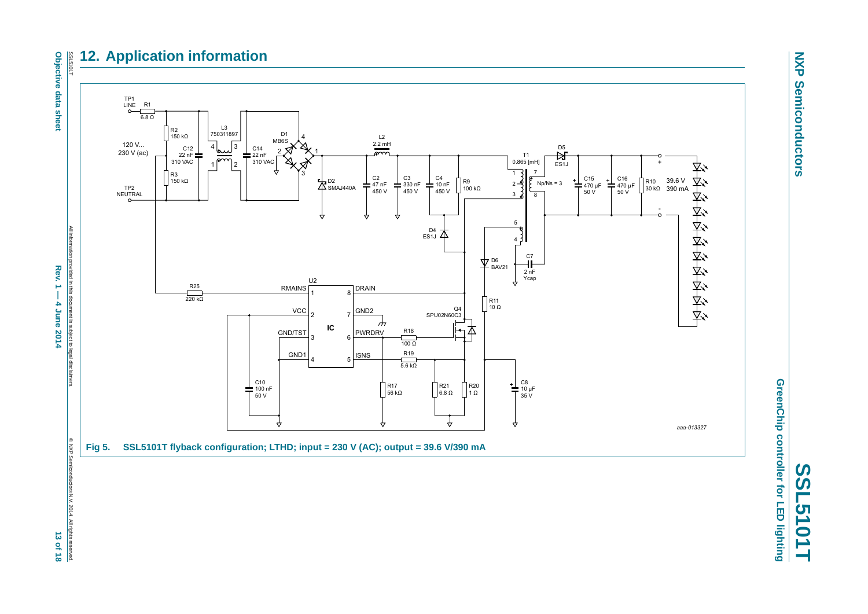#### SSL51011 **12. Application information**



All information provided in this document is subject to legal disclaimers. All information provided in this document is subject to legal disclaime  $Rew.1 -$ **Rev. 1 — 4 June 2014 13 of 18** 4 June 2014



<span id="page-12-0"></span>**RXH** 



**NXP NXP Semiconductors Semiconductors** 

GreenChip controller for LED lighting **GreenChip controller for LED lighting SSL5101T**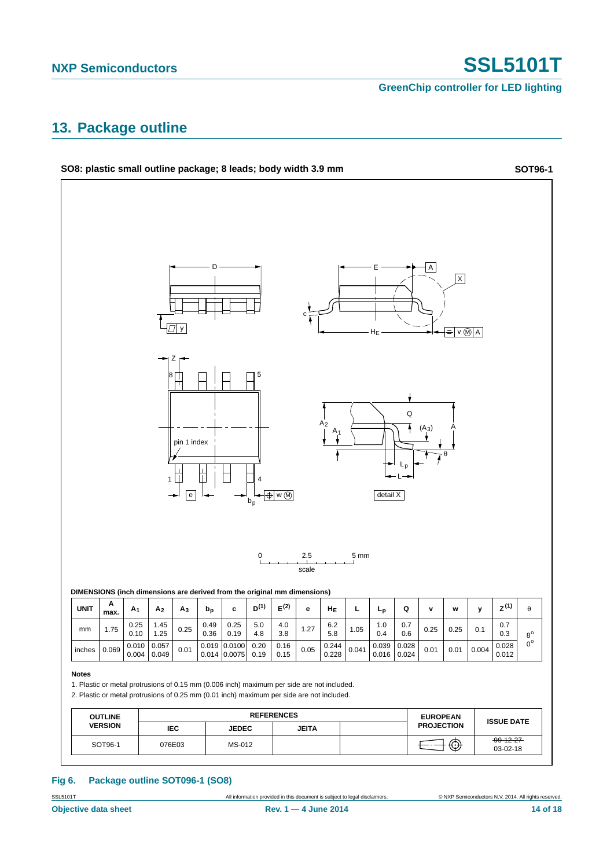**GreenChip controller for LED lighting**

### <span id="page-13-0"></span>**13. Package outline**



#### **Fig 6. Package outline SOT096-1 (SO8)**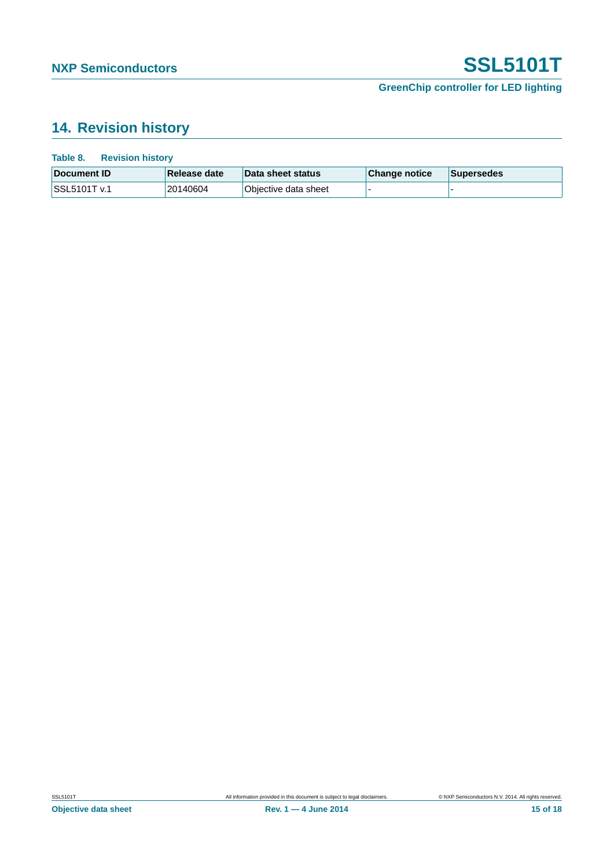### **GreenChip controller for LED lighting**

# <span id="page-14-0"></span>**14. Revision history**

| Table 8.<br><b>Revision history</b> |              |                          |               |                   |
|-------------------------------------|--------------|--------------------------|---------------|-------------------|
| Document ID                         | Release date | <b>Data sheet status</b> | Change notice | <b>Supersedes</b> |
| SSL5101T v.1                        | 20140604     | Objective data sheet     |               |                   |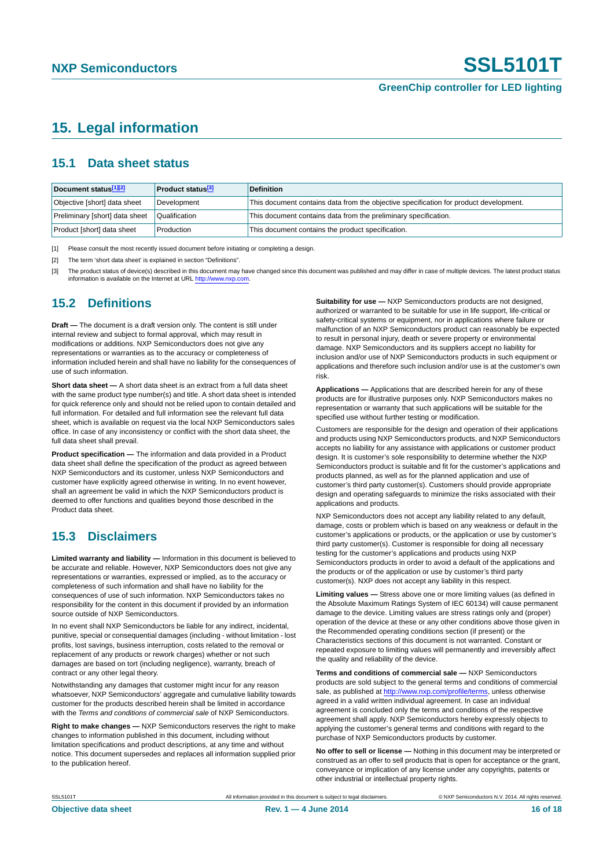# <span id="page-15-3"></span>**15. Legal information**

#### <span id="page-15-4"></span>**15.1 Data sheet status**

| Document status[1][2]          | <b>Product status</b> <sup>[3]</sup> | <b>Definition</b>                                                                     |
|--------------------------------|--------------------------------------|---------------------------------------------------------------------------------------|
| Objective [short] data sheet   | Development                          | This document contains data from the objective specification for product development. |
| Preliminary [short] data sheet | Qualification                        | This document contains data from the preliminary specification.                       |
| Product [short] data sheet     | Production                           | This document contains the product specification.                                     |

<span id="page-15-0"></span>[1] Please consult the most recently issued document before initiating or completing a design.

<span id="page-15-1"></span>[2] The term 'short data sheet' is explained in section "Definitions".

<span id="page-15-2"></span>[3] The product status of device(s) described in this document may have changed since this document was published and may differ in case of multiple devices. The latest product status<br>information is available on the Intern

#### <span id="page-15-5"></span>**15.2 Definitions**

**Draft —** The document is a draft version only. The content is still under internal review and subject to formal approval, which may result in modifications or additions. NXP Semiconductors does not give any representations or warranties as to the accuracy or completeness of information included herein and shall have no liability for the consequences of use of such information.

**Short data sheet —** A short data sheet is an extract from a full data sheet with the same product type number(s) and title. A short data sheet is intended for quick reference only and should not be relied upon to contain detailed and full information. For detailed and full information see the relevant full data sheet, which is available on request via the local NXP Semiconductors sales office. In case of any inconsistency or conflict with the short data sheet, the full data sheet shall prevail.

**Product specification —** The information and data provided in a Product data sheet shall define the specification of the product as agreed between NXP Semiconductors and its customer, unless NXP Semiconductors and customer have explicitly agreed otherwise in writing. In no event however, shall an agreement be valid in which the NXP Semiconductors product is deemed to offer functions and qualities beyond those described in the Product data sheet.

### <span id="page-15-6"></span>**15.3 Disclaimers**

**Limited warranty and liability —** Information in this document is believed to be accurate and reliable. However, NXP Semiconductors does not give any representations or warranties, expressed or implied, as to the accuracy or completeness of such information and shall have no liability for the consequences of use of such information. NXP Semiconductors takes no responsibility for the content in this document if provided by an information source outside of NXP Semiconductors.

In no event shall NXP Semiconductors be liable for any indirect, incidental, punitive, special or consequential damages (including - without limitation - lost profits, lost savings, business interruption, costs related to the removal or replacement of any products or rework charges) whether or not such damages are based on tort (including negligence), warranty, breach of contract or any other legal theory.

Notwithstanding any damages that customer might incur for any reason whatsoever, NXP Semiconductors' aggregate and cumulative liability towards customer for the products described herein shall be limited in accordance with the *Terms and conditions of commercial sale* of NXP Semiconductors.

**Right to make changes —** NXP Semiconductors reserves the right to make changes to information published in this document, including without limitation specifications and product descriptions, at any time and without notice. This document supersedes and replaces all information supplied prior to the publication hereof.

**Suitability for use —** NXP Semiconductors products are not designed, authorized or warranted to be suitable for use in life support, life-critical or safety-critical systems or equipment, nor in applications where failure or malfunction of an NXP Semiconductors product can reasonably be expected to result in personal injury, death or severe property or environmental damage. NXP Semiconductors and its suppliers accept no liability for inclusion and/or use of NXP Semiconductors products in such equipment or applications and therefore such inclusion and/or use is at the customer's own risk.

**Applications —** Applications that are described herein for any of these products are for illustrative purposes only. NXP Semiconductors makes no representation or warranty that such applications will be suitable for the specified use without further testing or modification.

Customers are responsible for the design and operation of their applications and products using NXP Semiconductors products, and NXP Semiconductors accepts no liability for any assistance with applications or customer product design. It is customer's sole responsibility to determine whether the NXP Semiconductors product is suitable and fit for the customer's applications and products planned, as well as for the planned application and use of customer's third party customer(s). Customers should provide appropriate design and operating safeguards to minimize the risks associated with their applications and products.

NXP Semiconductors does not accept any liability related to any default. damage, costs or problem which is based on any weakness or default in the customer's applications or products, or the application or use by customer's third party customer(s). Customer is responsible for doing all necessary testing for the customer's applications and products using NXP Semiconductors products in order to avoid a default of the applications and the products or of the application or use by customer's third party customer(s). NXP does not accept any liability in this respect.

**Limiting values —** Stress above one or more limiting values (as defined in the Absolute Maximum Ratings System of IEC 60134) will cause permanent damage to the device. Limiting values are stress ratings only and (proper) operation of the device at these or any other conditions above those given in the Recommended operating conditions section (if present) or the Characteristics sections of this document is not warranted. Constant or repeated exposure to limiting values will permanently and irreversibly affect the quality and reliability of the device.

**Terms and conditions of commercial sale —** NXP Semiconductors products are sold subject to the general terms and conditions of commercial sale, as published at<http://www.nxp.com/profile/terms>, unless otherwise agreed in a valid written individual agreement. In case an individual agreement is concluded only the terms and conditions of the respective agreement shall apply. NXP Semiconductors hereby expressly objects to applying the customer's general terms and conditions with regard to the purchase of NXP Semiconductors products by customer.

**No offer to sell or license —** Nothing in this document may be interpreted or construed as an offer to sell products that is open for acceptance or the grant, conveyance or implication of any license under any copyrights, patents or other industrial or intellectual property rights.

SSL5101T All information provided in this document is subject to legal disclaimers. © NXP Semiconductors N.V. 2014. All rights reserved.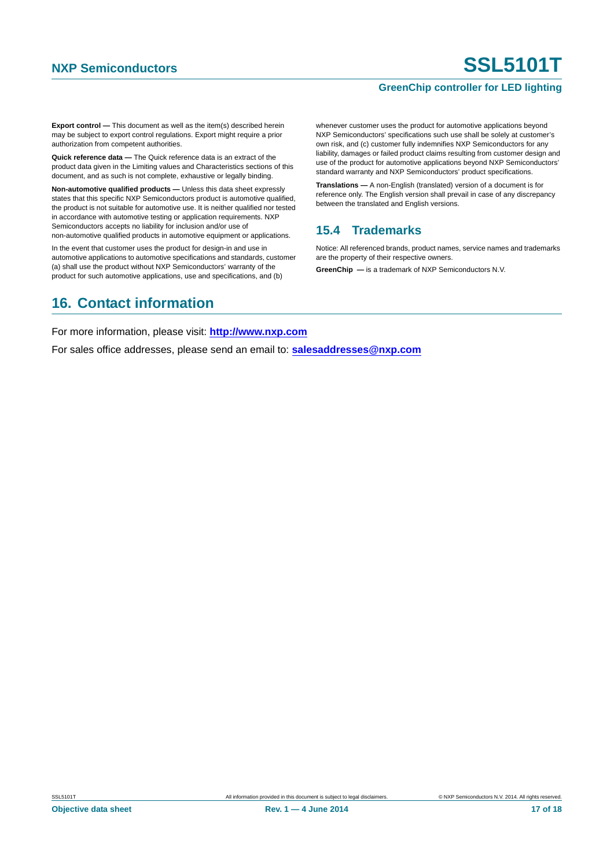#### **GreenChip controller for LED lighting**

**Export control —** This document as well as the item(s) described herein may be subject to export control regulations. Export might require a prior authorization from competent authorities.

**Quick reference data —** The Quick reference data is an extract of the product data given in the Limiting values and Characteristics sections of this document, and as such is not complete, exhaustive or legally binding.

**Non-automotive qualified products —** Unless this data sheet expressly states that this specific NXP Semiconductors product is automotive qualified, the product is not suitable for automotive use. It is neither qualified nor tested in accordance with automotive testing or application requirements. NXP Semiconductors accepts no liability for inclusion and/or use of non-automotive qualified products in automotive equipment or applications.

In the event that customer uses the product for design-in and use in automotive applications to automotive specifications and standards, customer (a) shall use the product without NXP Semiconductors' warranty of the product for such automotive applications, use and specifications, and (b)

whenever customer uses the product for automotive applications beyond NXP Semiconductors' specifications such use shall be solely at customer's own risk, and (c) customer fully indemnifies NXP Semiconductors for any liability, damages or failed product claims resulting from customer design and use of the product for automotive applications beyond NXP Semiconductors' standard warranty and NXP Semiconductors' product specifications.

**Translations —** A non-English (translated) version of a document is for reference only. The English version shall prevail in case of any discrepancy between the translated and English versions.

#### <span id="page-16-0"></span>**15.4 Trademarks**

Notice: All referenced brands, product names, service names and trademarks are the property of their respective owners.

**GreenChip —** is a trademark of NXP Semiconductors N.V.

# <span id="page-16-1"></span>**16. Contact information**

For more information, please visit: **http://www.nxp.com**

For sales office addresses, please send an email to: **salesaddresses@nxp.com**